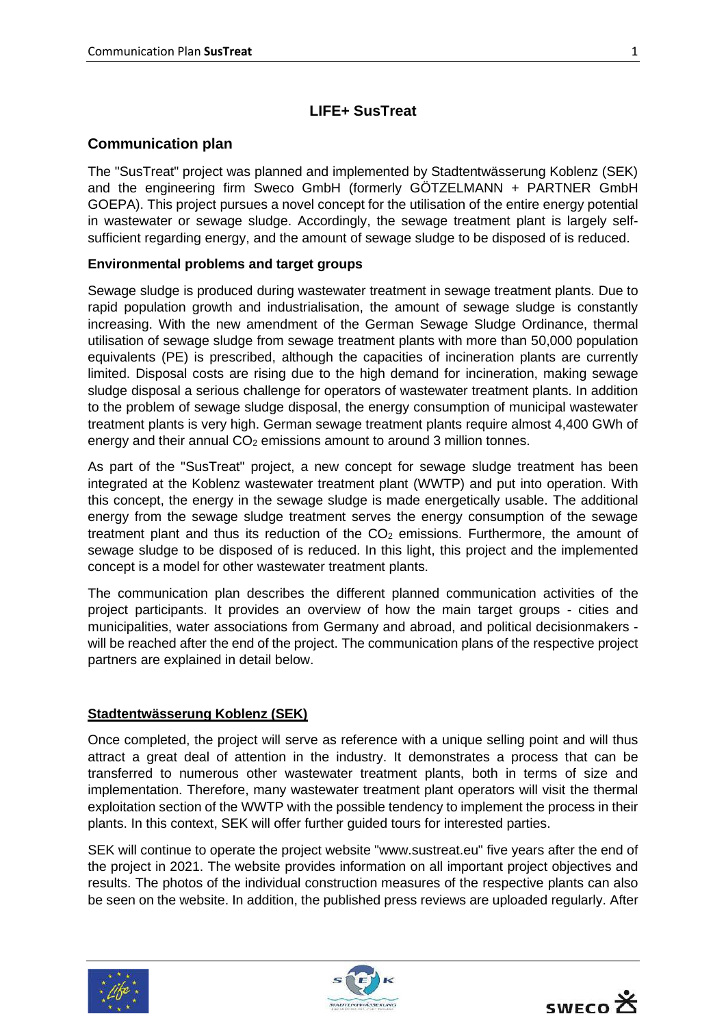# **LIFE+ SusTreat**

### **Communication plan**

The "SusTreat" project was planned and implemented by Stadtentwässerung Koblenz (SEK) and the engineering firm Sweco GmbH (formerly GÖTZELMANN + PARTNER GmbH GOEPA). This project pursues a novel concept for the utilisation of the entire energy potential in wastewater or sewage sludge. Accordingly, the sewage treatment plant is largely selfsufficient regarding energy, and the amount of sewage sludge to be disposed of is reduced.

#### **Environmental problems and target groups**

Sewage sludge is produced during wastewater treatment in sewage treatment plants. Due to rapid population growth and industrialisation, the amount of sewage sludge is constantly increasing. With the new amendment of the German Sewage Sludge Ordinance, thermal utilisation of sewage sludge from sewage treatment plants with more than 50,000 population equivalents (PE) is prescribed, although the capacities of incineration plants are currently limited. Disposal costs are rising due to the high demand for incineration, making sewage sludge disposal a serious challenge for operators of wastewater treatment plants. In addition to the problem of sewage sludge disposal, the energy consumption of municipal wastewater treatment plants is very high. German sewage treatment plants require almost 4,400 GWh of energy and their annual  $CO<sub>2</sub>$  emissions amount to around 3 million tonnes.

As part of the "SusTreat" project, a new concept for sewage sludge treatment has been integrated at the Koblenz wastewater treatment plant (WWTP) and put into operation. With this concept, the energy in the sewage sludge is made energetically usable. The additional energy from the sewage sludge treatment serves the energy consumption of the sewage treatment plant and thus its reduction of the  $CO<sub>2</sub>$  emissions. Furthermore, the amount of sewage sludge to be disposed of is reduced. In this light, this project and the implemented concept is a model for other wastewater treatment plants.

The communication plan describes the different planned communication activities of the project participants. It provides an overview of how the main target groups - cities and municipalities, water associations from Germany and abroad, and political decisionmakers will be reached after the end of the project. The communication plans of the respective project partners are explained in detail below.

## **Stadtentwässerung Koblenz (SEK)**

Once completed, the project will serve as reference with a unique selling point and will thus attract a great deal of attention in the industry. It demonstrates a process that can be transferred to numerous other wastewater treatment plants, both in terms of size and implementation. Therefore, many wastewater treatment plant operators will visit the thermal exploitation section of the WWTP with the possible tendency to implement the process in their plants. In this context, SEK will offer further guided tours for interested parties.

SEK will continue to operate the project website "www.sustreat.eu" five years after the end of the project in 2021. The website provides information on all important project objectives and results. The photos of the individual construction measures of the respective plants can also be seen on the website. In addition, the published press reviews are uploaded regularly. After





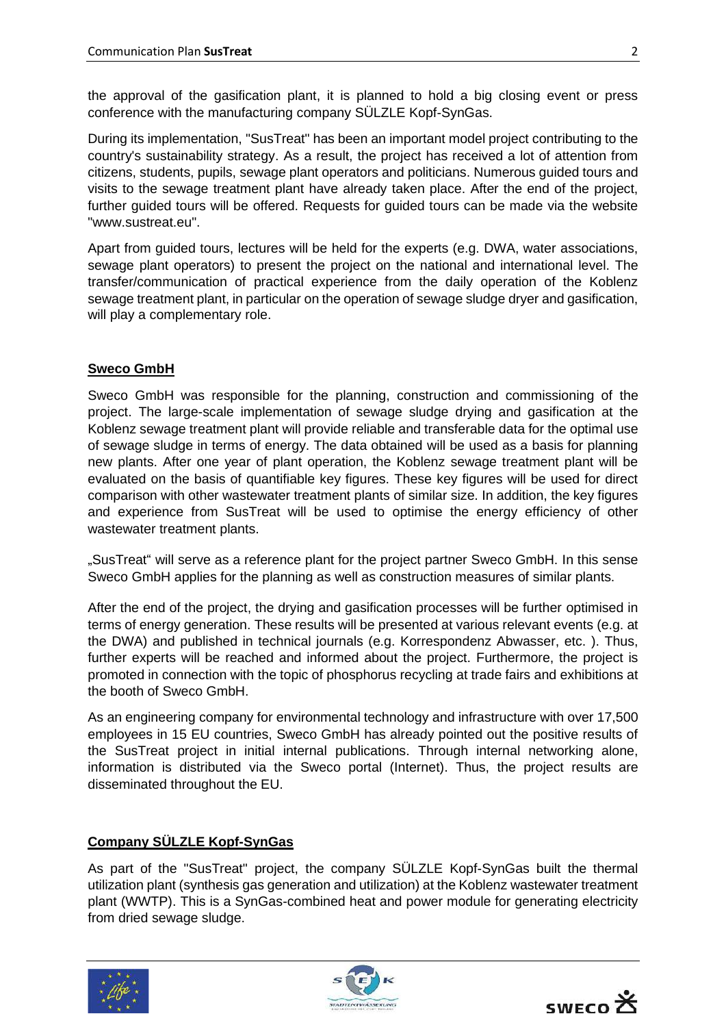the approval of the gasification plant, it is planned to hold a big closing event or press conference with the manufacturing company SÜLZLE Kopf-SynGas.

During its implementation, "SusTreat" has been an important model project contributing to the country's sustainability strategy. As a result, the project has received a lot of attention from citizens, students, pupils, sewage plant operators and politicians. Numerous guided tours and visits to the sewage treatment plant have already taken place. After the end of the project, further guided tours will be offered. Requests for guided tours can be made via the website "www.sustreat.eu".

Apart from guided tours, lectures will be held for the experts (e.g. DWA, water associations, sewage plant operators) to present the project on the national and international level. The transfer/communication of practical experience from the daily operation of the Koblenz sewage treatment plant, in particular on the operation of sewage sludge dryer and gasification, will play a complementary role.

### **Sweco GmbH**

Sweco GmbH was responsible for the planning, construction and commissioning of the project. The large-scale implementation of sewage sludge drying and gasification at the Koblenz sewage treatment plant will provide reliable and transferable data for the optimal use of sewage sludge in terms of energy. The data obtained will be used as a basis for planning new plants. After one year of plant operation, the Koblenz sewage treatment plant will be evaluated on the basis of quantifiable key figures. These key figures will be used for direct comparison with other wastewater treatment plants of similar size. In addition, the key figures and experience from SusTreat will be used to optimise the energy efficiency of other wastewater treatment plants.

"SusTreat" will serve as a reference plant for the project partner Sweco GmbH. In this sense Sweco GmbH applies for the planning as well as construction measures of similar plants.

After the end of the project, the drying and gasification processes will be further optimised in terms of energy generation. These results will be presented at various relevant events (e.g. at the DWA) and published in technical journals (e.g. Korrespondenz Abwasser, etc. ). Thus, further experts will be reached and informed about the project. Furthermore, the project is promoted in connection with the topic of phosphorus recycling at trade fairs and exhibitions at the booth of Sweco GmbH.

As an engineering company for environmental technology and infrastructure with over 17,500 employees in 15 EU countries, Sweco GmbH has already pointed out the positive results of the SusTreat project in initial internal publications. Through internal networking alone, information is distributed via the Sweco portal (Internet). Thus, the project results are disseminated throughout the EU.

#### **Company SÜLZLE Kopf-SynGas**

As part of the "SusTreat" project, the company SÜLZLE Kopf-SynGas built the thermal utilization plant (synthesis gas generation and utilization) at the Koblenz wastewater treatment plant (WWTP). This is a SynGas-combined heat and power module for generating electricity from dried sewage sludge.